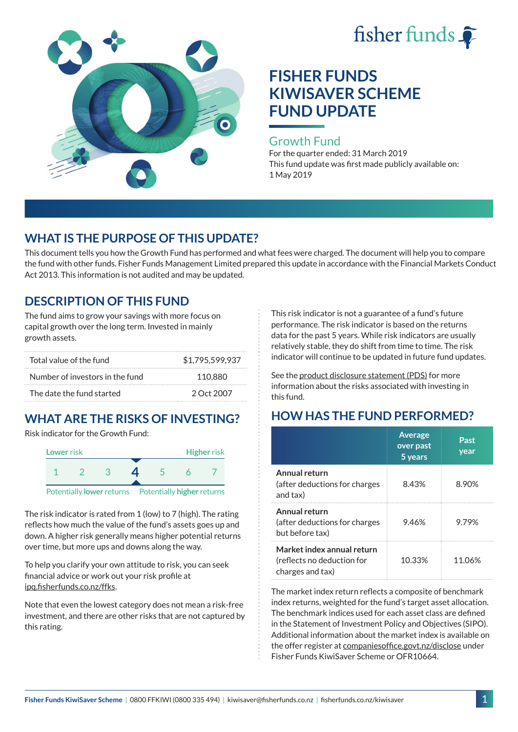



### Growth Fund

For the quarter ended: 31 March 2019 This fund update was first made publicly available on: 1 May 2019

# **WHAT IS THE PURPOSE OF THIS UPDATE?**

This document tells you how the Growth Fund has performed and what fees were charged. The document will help you to compare the fund with other funds. Fisher Funds Management Limited prepared this update in accordance with the Financial Markets Conduct Act 2013. This information is not audited and may be updated.

# **DESCRIPTION OF THIS FUND**

The fund aims to grow your savings with more focus on capital growth over the long term. Invested in mainly growth assets.

| Total value of the fund         | \$1.795.599.937 |  |
|---------------------------------|-----------------|--|
| Number of investors in the fund | 110.880         |  |
| The date the fund started       | 2 Oct 2007      |  |

# **WHAT ARE THE RISKS OF INVESTING?**

Risk indicator for the Growth Fund:



The risk indicator is rated from 1 (low) to 7 (high). The rating reflects how much the value of the fund's assets goes up and down. A higher risk generally means higher potential returns over time, but more ups and downs along the way.

To help you clarify your own attitude to risk, you can seek financial advice or work out your risk profile at [ipq.fisherfunds.co.nz/ffks](https://ipq.fisherfunds.co.nz/ffks).

Note that even the lowest category does not mean a risk-free investment, and there are other risks that are not captured by this rating.

This risk indicator is not a guarantee of a fund's future performance. The risk indicator is based on the returns data for the past 5 years. While risk indicators are usually relatively stable, they do shift from time to time. The risk indicator will continue to be updated in future fund updates.

See the [product disclosure statement \(PDS\)](https://fisherfunds.co.nz/assets/PDS/Fisher-Funds-KiwiSaver-Scheme-PDS.pdf) for more information about the risks associated with investing in this fund.

# **HOW HAS THE FUND PERFORMED?**

|                                                                              | <b>Average</b><br>over past<br>5 years | Past<br>year |
|------------------------------------------------------------------------------|----------------------------------------|--------------|
| Annual return<br>(after deductions for charges<br>and tax)                   | 8.43%                                  | 8.90%        |
| Annual return<br>(after deductions for charges<br>but before tax)            | 9.46%                                  | 9.79%        |
| Market index annual return<br>(reflects no deduction for<br>charges and tax) | 10.33%                                 | 11.06%       |

The market index return reflects a composite of benchmark index returns, weighted for the fund's target asset allocation. The benchmark indices used for each asset class are defined in the Statement of Investment Policy and Objectives (SIPO). Additional information about the market index is available on the offer register at [companiesoffice.govt.nz/disclose](http://companiesoffice.govt.nz/disclose) under Fisher Funds KiwiSaver Scheme or OFR10664.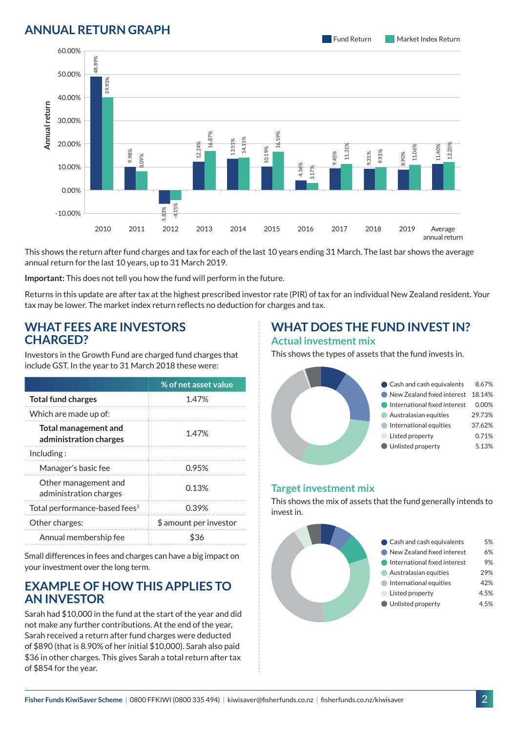## **ANNUAL RETURN GRAPH**

Fund Return Market Index Return



This shows the return after fund charges and tax for each of the last 10 years ending 31 March. The last bar shows the average annual return for the last 10 years, up to 31 March 2019.

**Important:** This does not tell you how the fund will perform in the future.

Returns in this update are after tax at the highest prescribed investor rate (PIR) of tax for an individual New Zealand resident. Your tax may be lower. The market index return reflects no deduction for charges and tax.

### **WHAT FEES ARE INVESTORS CHARGED?**

Investors in the Growth Fund are charged fund charges that include GST. In the year to 31 March 2018 these were:

|                                                       | % of net asset value   |  |
|-------------------------------------------------------|------------------------|--|
| <b>Total fund charges</b>                             | 1.47%                  |  |
| Which are made up of:                                 |                        |  |
| <b>Total management and</b><br>administration charges | 1.47%                  |  |
| Inding:                                               |                        |  |
| Manager's basic fee                                   | 0.95%                  |  |
| Other management and<br>administration charges        | 0.13%                  |  |
| Total performance-based fees <sup>1</sup>             | 0.39%                  |  |
| Other charges:                                        | \$ amount per investor |  |
| Annual membership fee                                 |                        |  |

Small differences in fees and charges can have a big impact on your investment over the long term.

### **EXAMPLE OF HOW THIS APPLIES TO AN INVESTOR**

Sarah had \$10,000 in the fund at the start of the year and did not make any further contributions. At the end of the year, Sarah received a return after fund charges were deducted of \$890 (that is 8.90% of her initial \$10,000). Sarah also paid \$36 in other charges. This gives Sarah a total return after tax of \$854 for the year.

### **WHAT DOES THE FUND INVEST IN? Actual investment mix**

This shows the types of assets that the fund invests in.



#### **Target investment mix**

This shows the mix of assets that the fund generally intends to invest in.